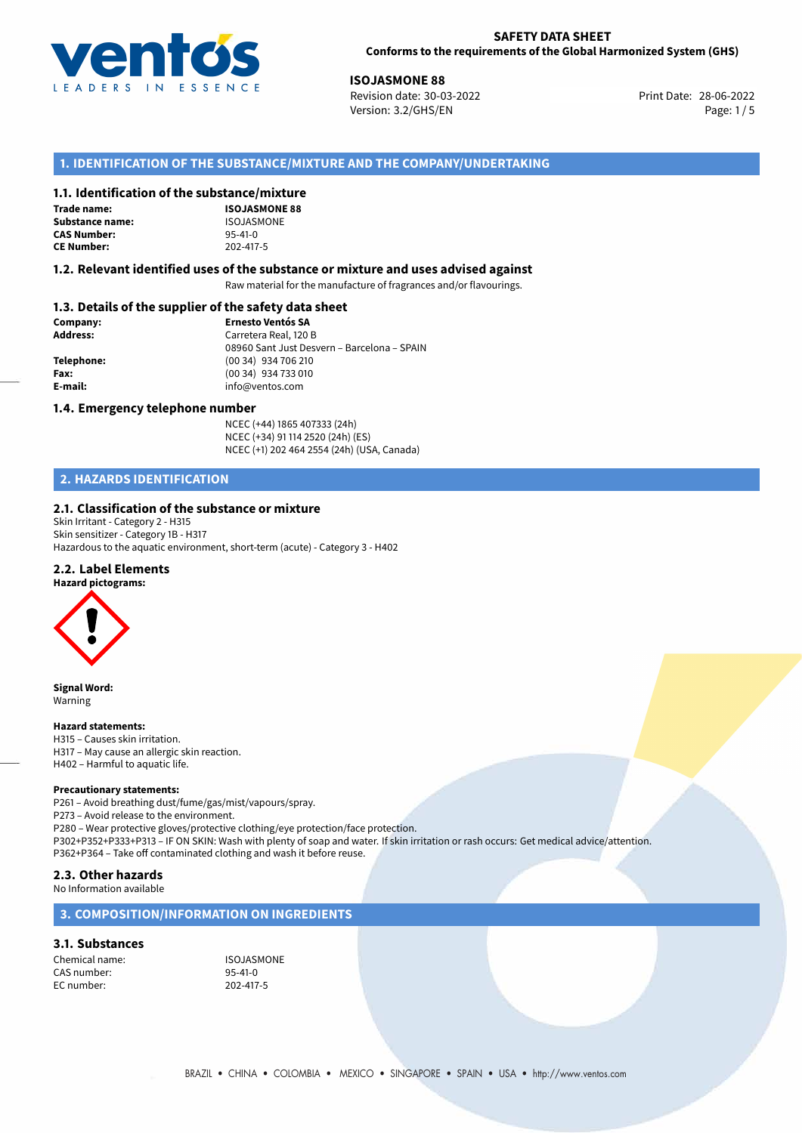

28-06-2022 **ISOJASMONE 88** Revision date: 30-03-2022 Print Date: Version: 3.2/GHS/EN Page: 1/5

## **1. IDENTIFICATION OF THE SUBSTANCE/MIXTURE AND THE COMPANY/UNDERTAKING**

### **1.1. Identification of the substance/mixture**

**Trade name: Substance name:** ISOJASMONE<br> **CAS Number:** 95-41-0 **CAS Number: CE Number:** 202-417-5

**ISOJASMONE 88**

#### **1.2. Relevant identified uses of the substance or mixture and uses advised against**

Raw material for the manufacture of fragrances and/or flavourings.

## **1.3. Details of the supplier of the safety data sheet**

| Company:        | <b>Ernesto Ventós SA</b>                    |  |
|-----------------|---------------------------------------------|--|
| <b>Address:</b> | Carretera Real, 120 B                       |  |
|                 | 08960 Sant Just Desvern - Barcelona - SPAIN |  |
| Telephone:      | (00 34) 934 706 210                         |  |
| Fax:            | (00 34) 934 733 010                         |  |
| E-mail:         | info@ventos.com                             |  |
|                 |                                             |  |

#### **1.4. Emergency telephone number**

NCEC (+44) 1865 407333 (24h) NCEC (+34) 91 114 2520 (24h) (ES) NCEC (+1) 202 464 2554 (24h) (USA, Canada)

# **2. HAZARDS IDENTIFICATION**

### **2.1. Classification of the substance or mixture**

Skin Irritant - Category 2 - H315 Skin sensitizer - Category 1B - H317 Hazardous to the aquatic environment, short-term (acute) - Category 3 - H402

#### **2.2. Label Elements**



**Signal Word:** Warning

#### **Hazard statements:**

H315 – Causes skin irritation. H317 – May cause an allergic skin reaction. H402 – Harmful to aquatic life.

#### **Precautionary statements:**

P261 – Avoid breathing dust/fume/gas/mist/vapours/spray. P273 – Avoid release to the environment. P280 – Wear protective gloves/protective clothing/eye protection/face protection. P302+P352+P333+P313 – IF ON SKIN: Wash with plenty of soap and water. If skin irritation or rash occurs: Get medical advice/attention. P362+P364 – Take off contaminated clothing and wash it before reuse.

#### **2.3. Other hazards** No Information available

## **3. COMPOSITION/INFORMATION ON INGREDIENTS**

## **3.1. Substances**

Chemical name: ISOJASMONE CAS number: 95-41-0<br>EC number: 202-417-5 EC number: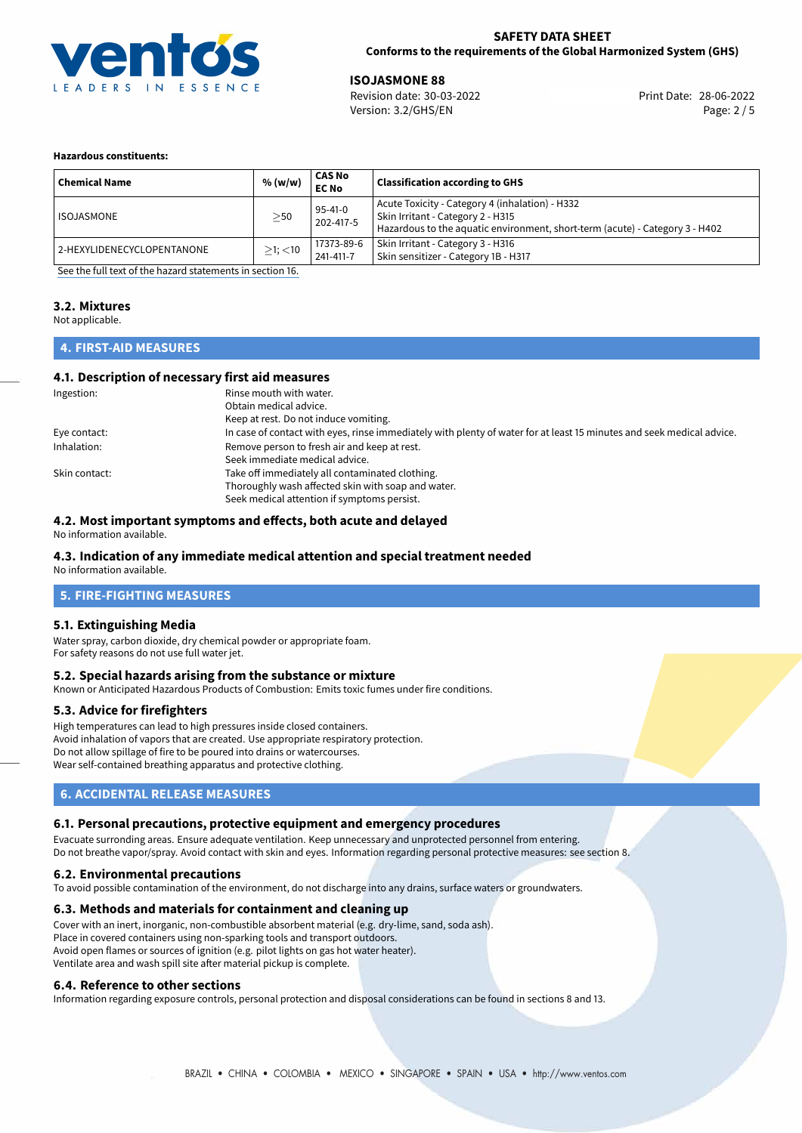

28-06-2022 **ISOJASMONE 88** Revision date: 30-03-2022 Print Date: Version: 3.2/GHS/EN Page: 2 / 5

#### **Hazardous constituents:**

| <b>Chemical Name</b>       | % (w/w)       | CAS No<br><b>EC No</b>  | <b>Classification according to GHS</b>                                                                                                                               |
|----------------------------|---------------|-------------------------|----------------------------------------------------------------------------------------------------------------------------------------------------------------------|
| <b>ISOJASMONE</b>          | $\geq$ 50     | 95-41-0<br>202-417-5    | Acute Toxicity - Category 4 (inhalation) - H332<br>Skin Irritant - Category 2 - H315<br>Hazardous to the aquatic environment, short-term (acute) - Category 3 - H402 |
| 2-HEXYLIDENECYCLOPENTANONE | $>1$ ; $<$ 10 | 17373-89-6<br>241-411-7 | Skin Irritant - Category 3 - H316<br>Skin sensitizer - Category 1B - H317                                                                                            |

[See the full text of the hazard statements in section 16.](#page-4-0)

## **3.2. Mixtures**

Not applicable.

# **4. FIRST-AID MEASURES**

### **4.1. Description of necessary first aid measures**

| Ingestion:    | Rinse mouth with water.                                                                                               |
|---------------|-----------------------------------------------------------------------------------------------------------------------|
|               | Obtain medical advice.                                                                                                |
|               | Keep at rest. Do not induce vomiting.                                                                                 |
| Eye contact:  | In case of contact with eyes, rinse immediately with plenty of water for at least 15 minutes and seek medical advice. |
| Inhalation:   | Remove person to fresh air and keep at rest.                                                                          |
|               | Seek immediate medical advice.                                                                                        |
| Skin contact: | Take off immediately all contaminated clothing.                                                                       |
|               | Thoroughly wash affected skin with soap and water.                                                                    |
|               | Seek medical attention if symptoms persist.                                                                           |

## **4.2. Most important symptoms and effects, both acute and delayed**

No information available.

# **4.3. Indication of any immediate medical attention and special treatment needed**

No information available.

# **5. FIRE-FIGHTING MEASURES**

## **5.1. Extinguishing Media**

Water spray, carbon dioxide, dry chemical powder or appropriate foam. For safety reasons do not use full water jet.

### **5.2. Special hazards arising from the substance or mixture**

Known or Anticipated Hazardous Products of Combustion: Emits toxic fumes under fire conditions.

### **5.3. Advice for firefighters**

High temperatures can lead to high pressures inside closed containers. Avoid inhalation of vapors that are created. Use appropriate respiratory protection. Do not allow spillage of fire to be poured into drains or watercourses. Wear self-contained breathing apparatus and protective clothing.

## **6. ACCIDENTAL RELEASE MEASURES**

### **6.1. Personal precautions, protective equipment and emergency procedures**

Evacuate surronding areas. Ensure adequate ventilation. Keep unnecessary and unprotected personnel from entering.

Do not breathe vapor/spray. Avoid contact with skin and eyes. Information regarding personal protective measures: see section 8.

### **6.2. Environmental precautions**

To avoid possible contamination of the environment, do not discharge into any drains, surface waters or groundwaters.

### **6.3. Methods and materials for containment and cleaning up**

Cover with an inert, inorganic, non-combustible absorbent material (e.g. dry-lime, sand, soda ash). Place in covered containers using non-sparking tools and transport outdoors. Avoid open flames or sources of ignition (e.g. pilot lights on gas hot water heater). Ventilate area and wash spill site after material pickup is complete.

### **6.4. Reference to other sections**

Information regarding exposure controls, personal protection and disposal considerations can be found in sections 8 and 13.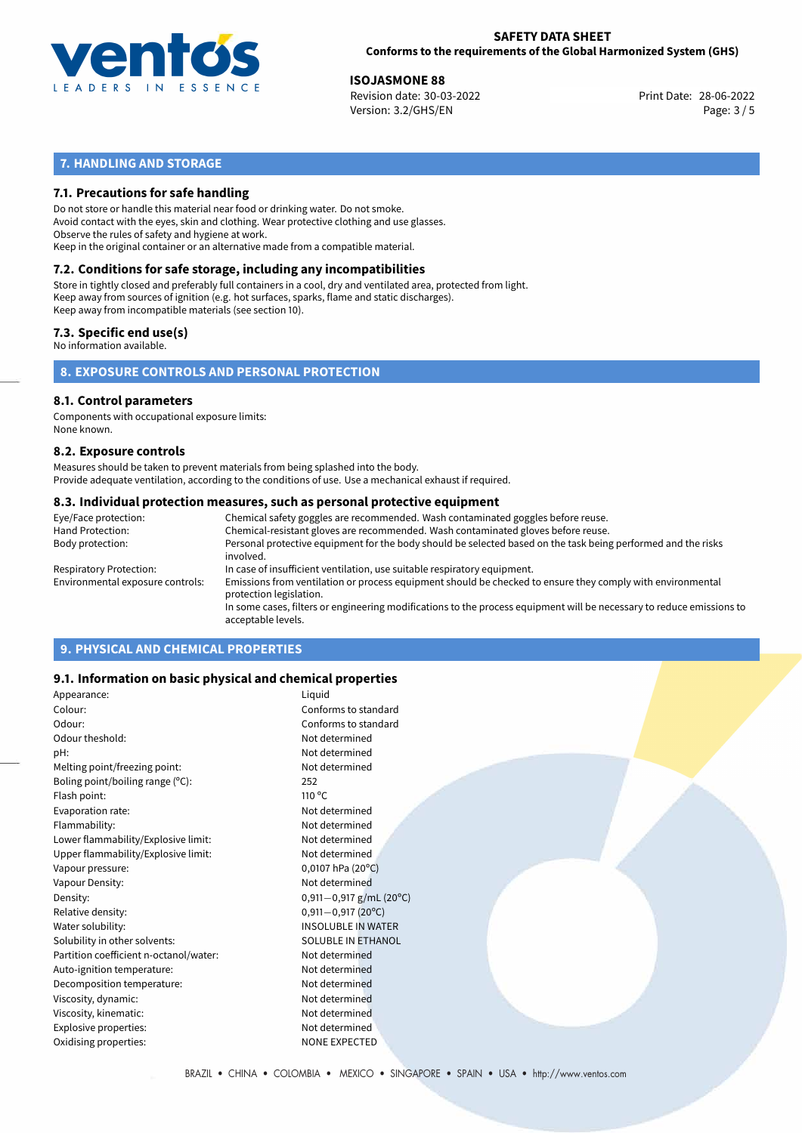

28-06-2022 **ISOJASMONE 88** Revision date: 30-03-2022 Print Date: Version: 3.2/GHS/EN Page: 3 / 5

# **7. HANDLING AND STORAGE**

## **7.1. Precautions for safe handling**

Do not store or handle this material near food or drinking water. Do not smoke. Avoid contact with the eyes, skin and clothing. Wear protective clothing and use glasses. Observe the rules of safety and hygiene at work. Keep in the original container or an alternative made from a compatible material.

# **7.2. Conditions for safe storage, including any incompatibilities**

Store in tightly closed and preferably full containers in a cool, dry and ventilated area, protected from light. Keep away from sources of ignition (e.g. hot surfaces, sparks, flame and static discharges). Keep away from incompatible materials (see section 10).

### **7.3. Specific end use(s)**

No information available.

**8. EXPOSURE CONTROLS AND PERSONAL PROTECTION**

# **8.1. Control parameters**

Components with occupational exposure limits: None known.

#### **8.2. Exposure controls**

Measures should be taken to prevent materials from being splashed into the body. Provide adequate ventilation, according to the conditions of use. Use a mechanical exhaust if required.

#### **8.3. Individual protection measures, such as personal protective equipment**

| Eye/Face protection:             | Chemical safety goggles are recommended. Wash contaminated goggles before reuse.                                                            |
|----------------------------------|---------------------------------------------------------------------------------------------------------------------------------------------|
| Hand Protection:                 | Chemical-resistant gloves are recommended. Wash contaminated gloves before reuse.                                                           |
| Body protection:                 | Personal protective equipment for the body should be selected based on the task being performed and the risks<br>involved.                  |
| Respiratory Protection:          | In case of insufficient ventilation, use suitable respiratory equipment.                                                                    |
| Environmental exposure controls: | Emissions from ventilation or process equipment should be checked to ensure they comply with environmental<br>protection legislation.       |
|                                  | In some cases, filters or engineering modifications to the process equipment will be necessary to reduce emissions to<br>acceptable levels. |
|                                  |                                                                                                                                             |

# **9. PHYSICAL AND CHEMICAL PROPERTIES**

### **9.1. Information on basic physical and chemical properties**

| Appearance:                            | Liquid                    |
|----------------------------------------|---------------------------|
| Colour:                                | Conforms to standard      |
| Odour:                                 | Conforms to standard      |
| Odour theshold:                        | Not determined            |
| pH:                                    | Not determined            |
| Melting point/freezing point:          | Not determined            |
| Boling point/boiling range $(°C)$ :    | 252                       |
| Flash point:                           | $110^{\circ}$ C           |
| Evaporation rate:                      | Not determined            |
| Flammability:                          | Not determined            |
| Lower flammability/Explosive limit:    | Not determined            |
| Upper flammability/Explosive limit:    | Not determined            |
| Vapour pressure:                       | $0,0107$ hPa (20°C)       |
| Vapour Density:                        | Not determined            |
| Density:                               | 0,911-0,917 g/mL (20°C)   |
| Relative density:                      | $0,911 - 0,917$ (20°C)    |
| Water solubility:                      | <b>INSOLUBLE IN WATER</b> |
| Solubility in other solvents:          | SOLUBLE IN ETHANOL        |
| Partition coefficient n-octanol/water: | Not determined            |
| Auto-ignition temperature:             | Not determined            |
| Decomposition temperature:             | Not determined            |
| Viscosity, dynamic:                    | Not determined            |
| Viscosity, kinematic:                  | Not determined            |
| Explosive properties:                  | Not determined            |
| Oxidising properties:                  | <b>NONE EXPECTED</b>      |
|                                        |                           |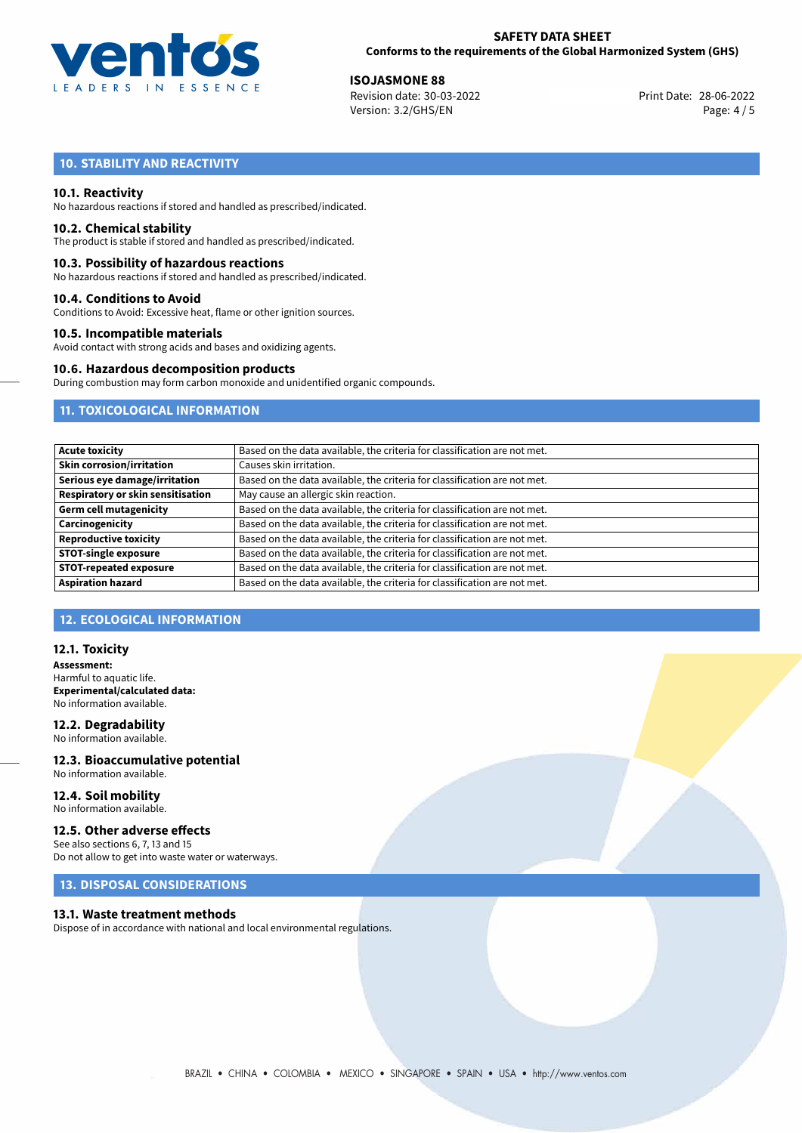

28-06-2022 **ISOJASMONE 88** Revision date: 30-03-2022 Print Date: Version: 3.2/GHS/EN Page: 4 / 5

# **10. STABILITY AND REACTIVITY**

#### **10.1. Reactivity**

No hazardous reactions if stored and handled as prescribed/indicated.

#### **10.2. Chemical stability**

The product is stable if stored and handled as prescribed/indicated.

#### **10.3. Possibility of hazardous reactions**

No hazardous reactions if stored and handled as prescribed/indicated.

#### **10.4. Conditions to Avoid**

Conditions to Avoid: Excessive heat, flame or other ignition sources.

#### **10.5. Incompatible materials**

Avoid contact with strong acids and bases and oxidizing agents.

#### **10.6. Hazardous decomposition products**

During combustion may form carbon monoxide and unidentified organic compounds.

## **11. TOXICOLOGICAL INFORMATION**

| <b>Acute toxicity</b>                    | Based on the data available, the criteria for classification are not met. |
|------------------------------------------|---------------------------------------------------------------------------|
| <b>Skin corrosion/irritation</b>         | Causes skin irritation.                                                   |
| Serious eye damage/irritation            | Based on the data available, the criteria for classification are not met. |
| <b>Respiratory or skin sensitisation</b> | May cause an allergic skin reaction.                                      |
| <b>Germ cell mutagenicity</b>            | Based on the data available, the criteria for classification are not met. |
| Carcinogenicity                          | Based on the data available, the criteria for classification are not met. |
| <b>Reproductive toxicity</b>             | Based on the data available, the criteria for classification are not met. |
| <b>STOT-single exposure</b>              | Based on the data available, the criteria for classification are not met. |
| <b>STOT-repeated exposure</b>            | Based on the data available, the criteria for classification are not met. |
| <b>Aspiration hazard</b>                 | Based on the data available, the criteria for classification are not met. |

## **12. ECOLOGICAL INFORMATION**

#### **12.1. Toxicity**

**Assessment:** Harmful to aquatic life. **Experimental/calculated data:** No information available.

# **12.2. Degradability**

No information available.

**12.3. Bioaccumulative potential** No information available.

#### **12.4. Soil mobility** No information available.

#### **12.5. Other adverse effects**

See also sections 6, 7, 13 and 15 Do not allow to get into waste water or waterways.

# **13. DISPOSAL CONSIDERATIONS**

#### **13.1. Waste treatment methods**

Dispose of in accordance with national and local environmental regulations.